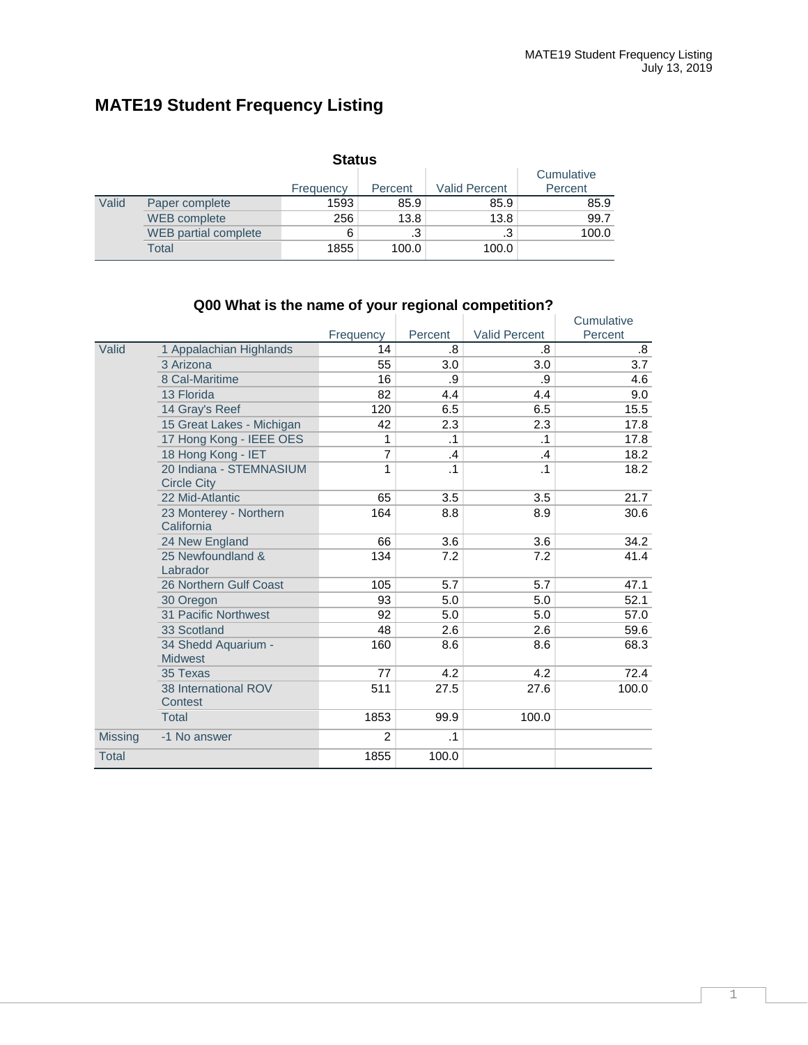## **MATE19 Student Frequency Listing**

| <b>Status</b> |                             |           |           |                      |                       |  |  |  |  |
|---------------|-----------------------------|-----------|-----------|----------------------|-----------------------|--|--|--|--|
|               |                             | Frequency | Percent   | <b>Valid Percent</b> | Cumulative<br>Percent |  |  |  |  |
| Valid         | Paper complete              | 1593      | 85.9      | 85.9                 | 85.9                  |  |  |  |  |
|               | WEB complete                | 256       | 13.8      | 13.8                 | 99.7                  |  |  |  |  |
|               | <b>WEB</b> partial complete | 6         | $\cdot$ 3 | .3                   | 100.0                 |  |  |  |  |
|               | Total                       | 1855      | 100.0     | 100.0                |                       |  |  |  |  |

#### Frequency Percent Valid Percent<br>14 .8 .8 **Cumulative** Percent Valid 1 Appalachian Highlands 14 .8 .8 .8  $3.\overline{0}$ 3.0  $3.\overline{0}$   $3.\overline{0}$   $3.\overline{0}$   $3.\overline{0}$   $3.\overline{0}$   $3.\overline{0}$   $3.\overline{0}$   $3.\overline{0}$   $3.\overline{0}$   $3.\overline{0}$   $3.\overline{0}$   $3.\overline{0}$   $3.\overline{0}$   $3.\overline{0}$   $3.\overline{0}$   $3.\overline{0}$   $3.\overline{0}$   $3.\overline{0}$   $3.\overline{0}$   $3.\overline{0}$   $3.\overline{0}$ 8 Cal-Maritime 16 .9 .9 4.6 13 Florida 82 4.4 4.4 9.0 14 Gray's Reef 120 6.5 6.5 15.5<br>15 Great Lakes - Michigan 120 2.3 2.3 17.8 15 Great Lakes - Michigan 12 2.3 2.3 17.8<br>17 Hong Kong - IEEE OES 1 1 1 1 1 1 1 17.8 17 Hong Kong - IEEE OES 1 .1 .1 17.8 18 Hong Kong - IET 7 .4 .4 .4 .4 18.2 20 Indiana - STEMNASIUM Circle City 1 .1 .1 18.2 22 Mid-Atlantic **65** 3.5 3.5 21.7<br>23 Monterey - Northern 164 8.8 8.9 30.6 23 Monterey - Northern **California** 164 8.8 8.9 30.6 24 New England 66 3.6 3.6 34.2<br>25 Newfoundland & 134 7.2 7.2 41.4 25 Newfoundland & Labrador 134 7.2 7.2 41.4 26 Northern Gulf Coast 105 5.7 5.7 47.1<br>30 Oregon 105 5.0 5.0 52.1  $30$  Oregon 5.0 52.1 5.0 52.1 11 Pacific Northwest **92** 5.0 5.0 57.0<br>33 Scotland 48 2.6 2.6 59.6 33 Scotland 48 2.6 2.6 59.6 34 Shedd Aquarium - **Midwest** 160 8.6 8.6 68.3 35 Texas 77 4.2 4.2 72.4 38 International ROV **Contest** 511 27.5 27.6 100.0 Total 1853 99.9 100.0 Missing -1 No answer 2 2 .1 Total 100.0 and 1855 100.0

#### **Q00 What is the name of your regional competition?**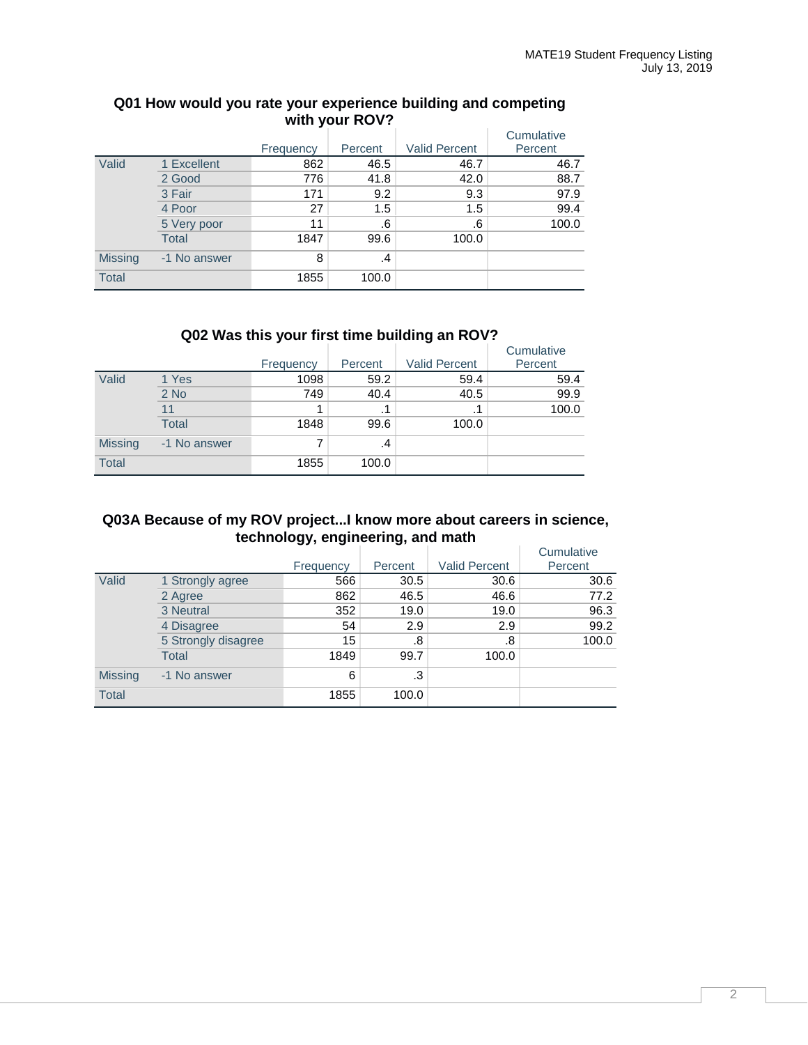|                | WILD YOU IN Y |           |         |                      |            |  |  |  |  |  |
|----------------|---------------|-----------|---------|----------------------|------------|--|--|--|--|--|
|                |               |           |         |                      | Cumulative |  |  |  |  |  |
|                |               | Frequency | Percent | <b>Valid Percent</b> | Percent    |  |  |  |  |  |
| Valid          | 1 Excellent   | 862       | 46.5    | 46.7                 | 46.7       |  |  |  |  |  |
|                | 2 Good        | 776       | 41.8    | 42.0                 | 88.7       |  |  |  |  |  |
|                | 3 Fair        | 171       | 9.2     | 9.3                  | 97.9       |  |  |  |  |  |
|                | 4 Poor        | 27        | 1.5     | 1.5                  | 99.4       |  |  |  |  |  |
|                | 5 Very poor   | 11        | .6      | .6                   | 100.0      |  |  |  |  |  |
|                | <b>Total</b>  | 1847      | 99.6    | 100.0                |            |  |  |  |  |  |
| <b>Missing</b> | -1 No answer  | 8         | .4      |                      |            |  |  |  |  |  |
| <b>Total</b>   |               | 1855      | 100.0   |                      |            |  |  |  |  |  |

## **Q01 How would you rate your experience building and competing with your ROV?**

## **Q02 Was this your first time building an ROV?**

|                |              |           |         |                      | Cumulative |
|----------------|--------------|-----------|---------|----------------------|------------|
|                |              | Frequency | Percent | <b>Valid Percent</b> | Percent    |
| Valid          | 1 Yes        | 1098      | 59.2    | 59.4                 | 59.4       |
|                | $2$ No       | 749       | 40.4    | 40.5                 | 99.9       |
|                | 11           |           | .1      | . 1                  | 100.0      |
|                | <b>Total</b> | 1848      | 99.6    | 100.0                |            |
| <b>Missing</b> | -1 No answer | 7         | .4      |                      |            |
| <b>Total</b>   |              | 1855      | 100.0   |                      |            |

## **Q03A Because of my ROV project...I know more about careers in science, technology, engineering, and math**

|                |                     |           |         |                      | Cumulative |
|----------------|---------------------|-----------|---------|----------------------|------------|
|                |                     | Frequency | Percent | <b>Valid Percent</b> | Percent    |
| Valid          | 1 Strongly agree    | 566       | 30.5    | 30.6                 | 30.6       |
|                | 2 Agree             | 862       | 46.5    | 46.6                 | 77.2       |
|                | 3 Neutral           | 352       | 19.0    | 19.0                 | 96.3       |
|                | 4 Disagree          | 54        | 2.9     | 2.9                  | 99.2       |
|                | 5 Strongly disagree | 15        | .8      | .8                   | 100.0      |
|                | <b>Total</b>        | 1849      | 99.7    | 100.0                |            |
| <b>Missing</b> | -1 No answer        | 6         | .3      |                      |            |
| <b>Total</b>   |                     | 1855      | 100.0   |                      |            |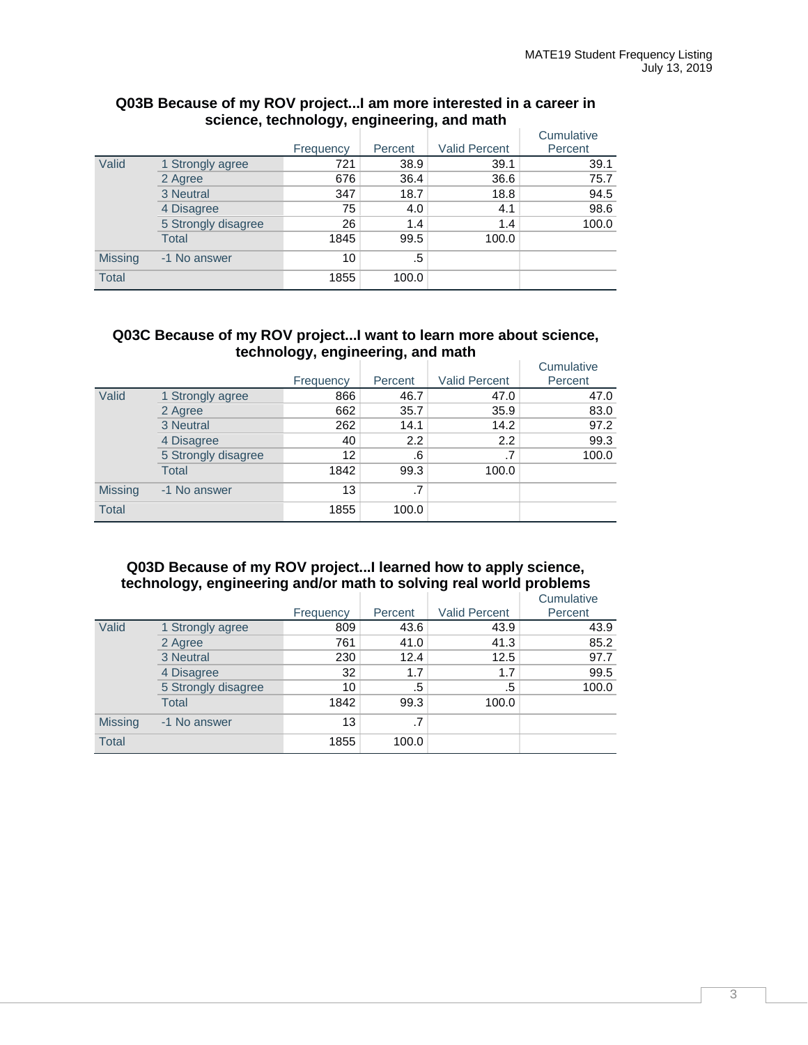|                |                     |           |         |                      | Cumulative |
|----------------|---------------------|-----------|---------|----------------------|------------|
|                |                     | Frequency | Percent | <b>Valid Percent</b> | Percent    |
| Valid          | 1 Strongly agree    | 721       | 38.9    | 39.1                 | 39.1       |
|                | 2 Agree             | 676       | 36.4    | 36.6                 | 75.7       |
|                | 3 Neutral           | 347       | 18.7    | 18.8                 | 94.5       |
|                | 4 Disagree          | 75        | 4.0     | 4.1                  | 98.6       |
|                | 5 Strongly disagree | 26        | 1.4     | 1.4                  | 100.0      |
|                | <b>Total</b>        | 1845      | 99.5    | 100.0                |            |
| <b>Missing</b> | -1 No answer        | 10        | .5      |                      |            |
| <b>Total</b>   |                     | 1855      | 100.0   |                      |            |

#### **Q03B Because of my ROV project...I am more interested in a career in science, technology, engineering, and math**

#### **Q03C Because of my ROV project...I want to learn more about science, technology, engineering, and math**

|                |                     |           |                 |                      | Cumulative |
|----------------|---------------------|-----------|-----------------|----------------------|------------|
|                |                     | Frequency | Percent         | <b>Valid Percent</b> | Percent    |
| Valid          | 1 Strongly agree    | 866       | 46.7            | 47.0                 | 47.0       |
|                | 2 Agree             | 662       | 35.7            | 35.9                 | 83.0       |
|                | 3 Neutral           | 262       | 14.1            | 14.2                 | 97.2       |
|                | 4 Disagree          | 40        | 2.2             | 2.2                  | 99.3       |
|                | 5 Strongly disagree | 12        | .6              |                      | 100.0      |
|                | <b>Total</b>        | 1842      | 99.3            | 100.0                |            |
| <b>Missing</b> | -1 No answer        | 13        | $.7\phantom{0}$ |                      |            |
| <b>Total</b>   |                     | 1855      | 100.0           |                      |            |

## **Q03D Because of my ROV project...I learned how to apply science, technology, engineering and/or math to solving real world problems**

|                |                     | Frequency | Percent | <b>Valid Percent</b> | Cumulative<br>Percent |
|----------------|---------------------|-----------|---------|----------------------|-----------------------|
| Valid          | 1 Strongly agree    | 809       | 43.6    | 43.9                 | 43.9                  |
|                | 2 Agree             | 761       | 41.0    | 41.3                 | 85.2                  |
|                | 3 Neutral           | 230       | 12.4    | 12.5                 | 97.7                  |
|                | 4 Disagree          | 32        | 1.7     | 1.7                  | 99.5                  |
|                | 5 Strongly disagree | 10        | .5      | .5                   | 100.0                 |
|                | <b>Total</b>        | 1842      | 99.3    | 100.0                |                       |
| <b>Missing</b> | -1 No answer        | 13        | .7      |                      |                       |
| <b>Total</b>   |                     | 1855      | 100.0   |                      |                       |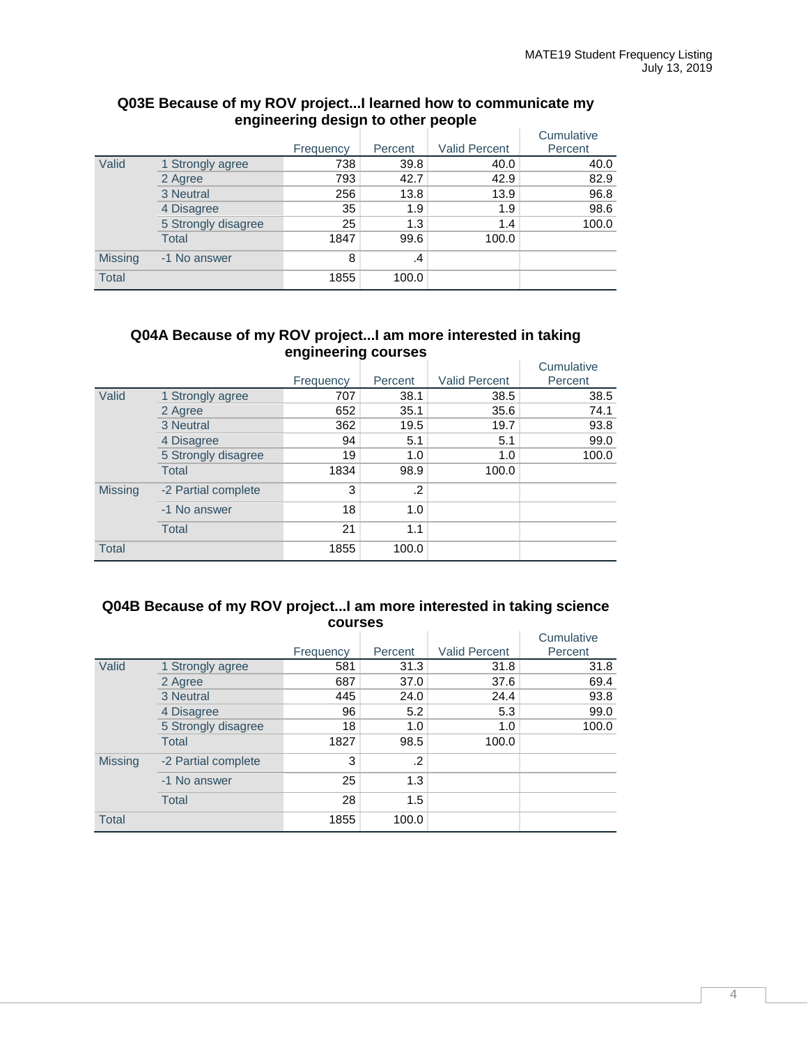|                |                     |           |         |                      | Cumulative |
|----------------|---------------------|-----------|---------|----------------------|------------|
|                |                     | Frequency | Percent | <b>Valid Percent</b> | Percent    |
| Valid          | 1 Strongly agree    | 738       | 39.8    | 40.0                 | 40.0       |
|                | 2 Agree             | 793       | 42.7    | 42.9                 | 82.9       |
|                | 3 Neutral           | 256       | 13.8    | 13.9                 | 96.8       |
|                | 4 Disagree          | 35        | 1.9     | 1.9                  | 98.6       |
|                | 5 Strongly disagree | 25        | 1.3     | 1.4                  | 100.0      |
|                | Total               | 1847      | 99.6    | 100.0                |            |
| <b>Missing</b> | -1 No answer        | 8         | .4      |                      |            |
| <b>Total</b>   |                     | 1855      | 100.0   |                      |            |

#### **Q03E Because of my ROV project...I learned how to communicate my engineering design to other people**

#### **Q04A Because of my ROV project...I am more interested in taking engineering courses**

|                |                     | Frequency | Percent | <b>Valid Percent</b> | Cumulative<br>Percent |
|----------------|---------------------|-----------|---------|----------------------|-----------------------|
| Valid          | 1 Strongly agree    | 707       | 38.1    | 38.5                 | 38.5                  |
|                | 2 Agree             | 652       | 35.1    | 35.6                 | 74.1                  |
|                | 3 Neutral           | 362       | 19.5    | 19.7                 | 93.8                  |
|                | 4 Disagree          | 94        | 5.1     | 5.1                  | 99.0                  |
|                | 5 Strongly disagree | 19        | 1.0     | 1.0                  | 100.0                 |
|                | <b>Total</b>        | 1834      | 98.9    | 100.0                |                       |
| <b>Missing</b> | -2 Partial complete | 3         | .2      |                      |                       |
|                | -1 No answer        | 18        | 1.0     |                      |                       |
|                | <b>Total</b>        | 21        | 1.1     |                      |                       |
| <b>Total</b>   |                     | 1855      | 100.0   |                      |                       |

#### **Q04B Because of my ROV project...I am more interested in taking science courses**

|                |                     | Frequency | Percent | <b>Valid Percent</b> | Cumulative<br>Percent |
|----------------|---------------------|-----------|---------|----------------------|-----------------------|
| Valid          | 1 Strongly agree    | 581       | 31.3    | 31.8                 | 31.8                  |
|                | 2 Agree             | 687       | 37.0    | 37.6                 | 69.4                  |
|                | 3 Neutral           | 445       | 24.0    | 24.4                 | 93.8                  |
|                | 4 Disagree          | 96        | 5.2     | 5.3                  | 99.0                  |
|                | 5 Strongly disagree | 18        | 1.0     | 1.0                  | 100.0                 |
|                | <b>Total</b>        | 1827      | 98.5    | 100.0                |                       |
| <b>Missing</b> | -2 Partial complete | 3         | .2      |                      |                       |
|                | -1 No answer        | 25        | 1.3     |                      |                       |
|                | Total               | 28        | 1.5     |                      |                       |
| <b>Total</b>   |                     | 1855      | 100.0   |                      |                       |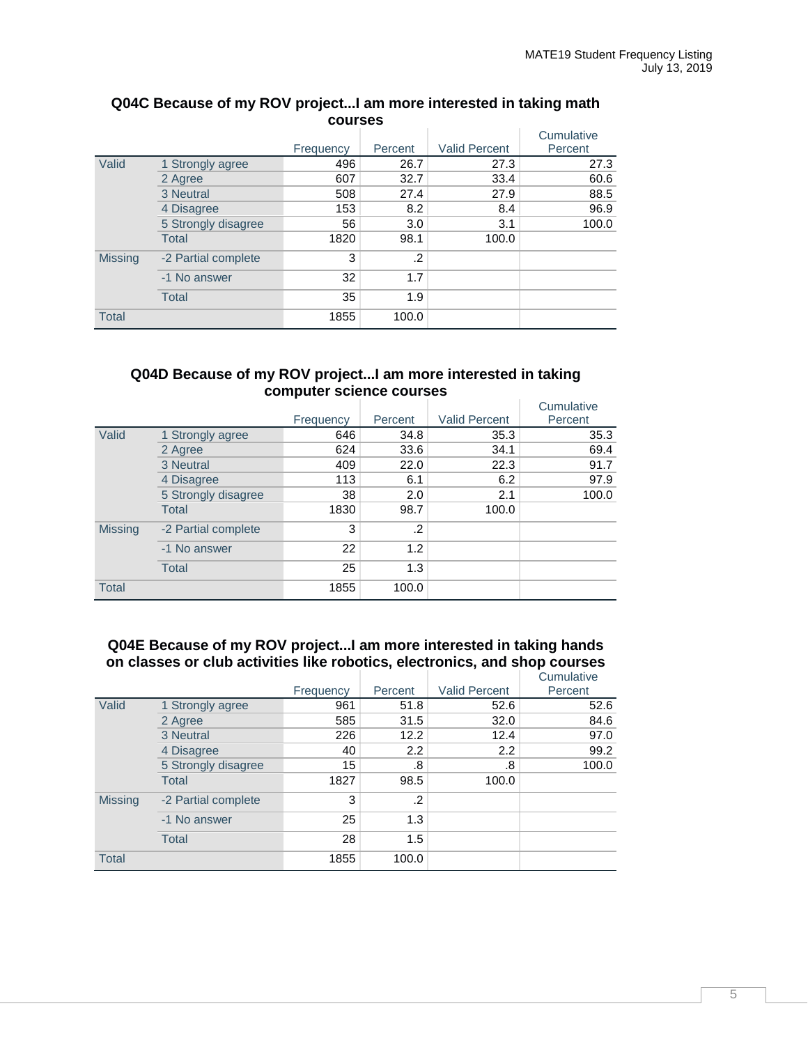| vvuı Juu       |                     |           |            |                      |            |  |  |
|----------------|---------------------|-----------|------------|----------------------|------------|--|--|
|                |                     |           |            |                      | Cumulative |  |  |
|                |                     | Frequency | Percent    | <b>Valid Percent</b> | Percent    |  |  |
| Valid          | 1 Strongly agree    | 496       | 26.7       | 27.3                 | 27.3       |  |  |
|                | 2 Agree             | 607       | 32.7       | 33.4                 | 60.6       |  |  |
|                | 3 Neutral           | 508       | 27.4       | 27.9                 | 88.5       |  |  |
|                | 4 Disagree          | 153       | 8.2        | 8.4                  | 96.9       |  |  |
|                | 5 Strongly disagree | 56        | 3.0        | 3.1                  | 100.0      |  |  |
|                | <b>Total</b>        | 1820      | 98.1       | 100.0                |            |  |  |
| <b>Missing</b> | -2 Partial complete | 3         | $\cdot$ .2 |                      |            |  |  |
|                | -1 No answer        | 32        | 1.7        |                      |            |  |  |
|                | <b>Total</b>        | 35        | 1.9        |                      |            |  |  |
| <b>Total</b>   |                     | 1855      | 100.0      |                      |            |  |  |

## **Q04C Because of my ROV project...I am more interested in taking math courses**

#### **Q04D Because of my ROV project...I am more interested in taking computer science courses**

|                |                     | Frequency | Percent | <b>Valid Percent</b> | Cumulative<br>Percent |
|----------------|---------------------|-----------|---------|----------------------|-----------------------|
| Valid          | 1 Strongly agree    | 646       | 34.8    | 35.3                 | 35.3                  |
|                | 2 Agree             | 624       | 33.6    | 34.1                 | 69.4                  |
|                | 3 Neutral           | 409       | 22.0    | 22.3                 | 91.7                  |
|                | 4 Disagree          | 113       | 6.1     | 6.2                  | 97.9                  |
|                | 5 Strongly disagree | 38        | 2.0     | 2.1                  | 100.0                 |
|                | <b>Total</b>        | 1830      | 98.7    | 100.0                |                       |
| <b>Missing</b> | -2 Partial complete | 3         | .2      |                      |                       |
|                | -1 No answer        | 22        | 1.2     |                      |                       |
|                | <b>Total</b>        | 25        | 1.3     |                      |                       |
| <b>Total</b>   |                     | 1855      | 100.0   |                      |                       |

## **Q04E Because of my ROV project...I am more interested in taking hands on classes or club activities like robotics, electronics, and shop courses**

|                |                     | Frequency | Percent          | <b>Valid Percent</b> | Cumulative<br>Percent |
|----------------|---------------------|-----------|------------------|----------------------|-----------------------|
| Valid          | 1 Strongly agree    | 961       | 51.8             | 52.6                 | 52.6                  |
|                | 2 Agree             | 585       | 31.5             | 32.0                 | 84.6                  |
|                | 3 Neutral           | 226       | 12.2             | 12.4                 | 97.0                  |
|                | 4 Disagree          | 40        | $2.2\phantom{0}$ | 2.2                  | 99.2                  |
|                | 5 Strongly disagree | 15        | .8               | .8                   | 100.0                 |
|                | <b>Total</b>        | 1827      | 98.5             | 100.0                |                       |
| <b>Missing</b> | -2 Partial complete | 3         | .2               |                      |                       |
|                | -1 No answer        | 25        | 1.3              |                      |                       |
|                | <b>Total</b>        | 28        | 1.5              |                      |                       |
| <b>Total</b>   |                     | 1855      | 100.0            |                      |                       |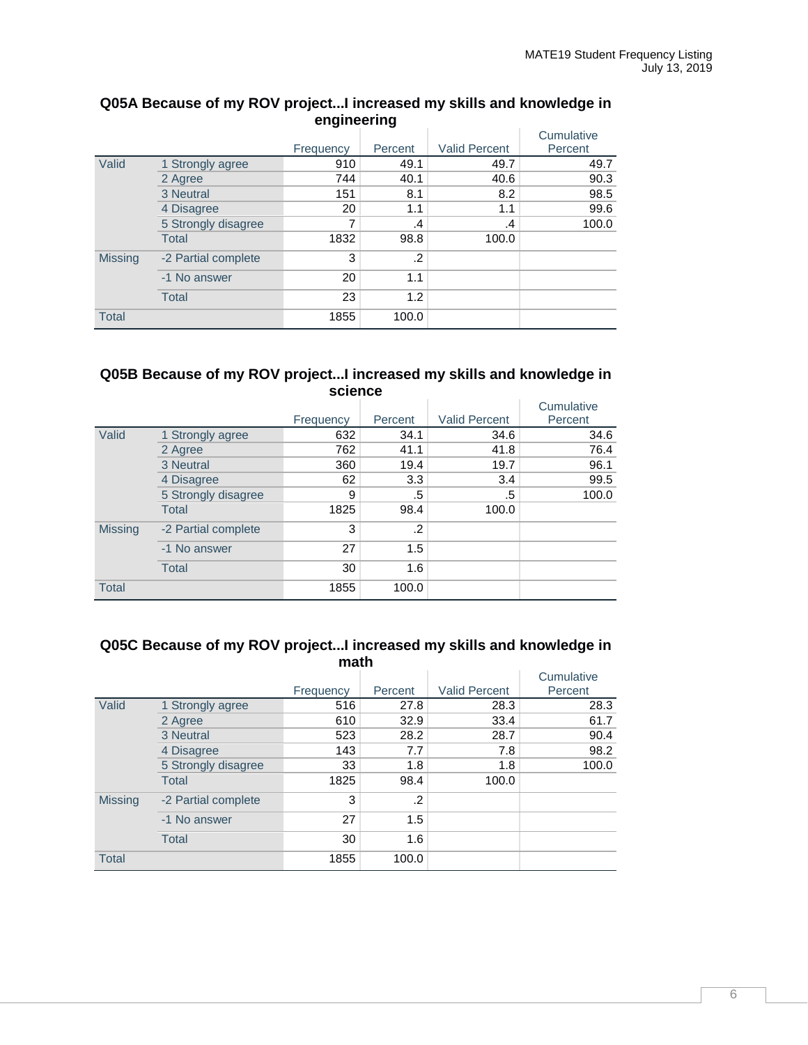|                |                     | ັ         | ີ       |                      | Cumulative |
|----------------|---------------------|-----------|---------|----------------------|------------|
|                |                     | Frequency | Percent | <b>Valid Percent</b> | Percent    |
| Valid          | 1 Strongly agree    | 910       | 49.1    | 49.7                 | 49.7       |
|                | 2 Agree             | 744       | 40.1    | 40.6                 | 90.3       |
|                | 3 Neutral           | 151       | 8.1     | 8.2                  | 98.5       |
|                | 4 Disagree          | 20        | 1.1     | 1.1                  | 99.6       |
|                | 5 Strongly disagree |           | $\cdot$ | .4                   | 100.0      |
|                | <b>Total</b>        | 1832      | 98.8    | 100.0                |            |
| <b>Missing</b> | -2 Partial complete | 3         | .2      |                      |            |
|                | -1 No answer        | 20        | 1.1     |                      |            |
|                | <b>Total</b>        | 23        | 1.2     |                      |            |
| <b>Total</b>   |                     | 1855      | 100.0   |                      |            |

## **Q05A Because of my ROV project...I increased my skills and knowledge in engineering**

## **Q05B Because of my ROV project...I increased my skills and knowledge in science**

|                |                     | Frequency | Percent | <b>Valid Percent</b> | Cumulative<br>Percent |
|----------------|---------------------|-----------|---------|----------------------|-----------------------|
| Valid          | 1 Strongly agree    | 632       | 34.1    | 34.6                 | 34.6                  |
|                | 2 Agree             | 762       | 41.1    | 41.8                 | 76.4                  |
|                | 3 Neutral           | 360       | 19.4    | 19.7                 | 96.1                  |
|                | 4 Disagree          | 62        | 3.3     | 3.4                  | 99.5                  |
|                | 5 Strongly disagree | 9         | .5      | .5                   | 100.0                 |
|                | <b>Total</b>        | 1825      | 98.4    | 100.0                |                       |
| <b>Missing</b> | -2 Partial complete | 3         | $\cdot$ |                      |                       |
|                | -1 No answer        | 27        | 1.5     |                      |                       |
|                | Total               | 30        | 1.6     |                      |                       |
| <b>Total</b>   |                     | 1855      | 100.0   |                      |                       |

## **Q05C Because of my ROV project...I increased my skills and knowledge in math**

|                |                     | Frequency | Percent | <b>Valid Percent</b> | Cumulative<br>Percent |
|----------------|---------------------|-----------|---------|----------------------|-----------------------|
| Valid          | 1 Strongly agree    | 516       | 27.8    | 28.3                 | 28.3                  |
|                | 2 Agree             | 610       | 32.9    | 33.4                 | 61.7                  |
|                | 3 Neutral           | 523       | 28.2    | 28.7                 | 90.4                  |
|                | 4 Disagree          | 143       | 7.7     | 7.8                  | 98.2                  |
|                | 5 Strongly disagree | 33        | 1.8     | 1.8                  | 100.0                 |
|                | Total               | 1825      | 98.4    | 100.0                |                       |
| <b>Missing</b> | -2 Partial complete | 3         | .2      |                      |                       |
|                | -1 No answer        | 27        | 1.5     |                      |                       |
|                | Total               | 30        | 1.6     |                      |                       |
| <b>Total</b>   |                     | 1855      | 100.0   |                      |                       |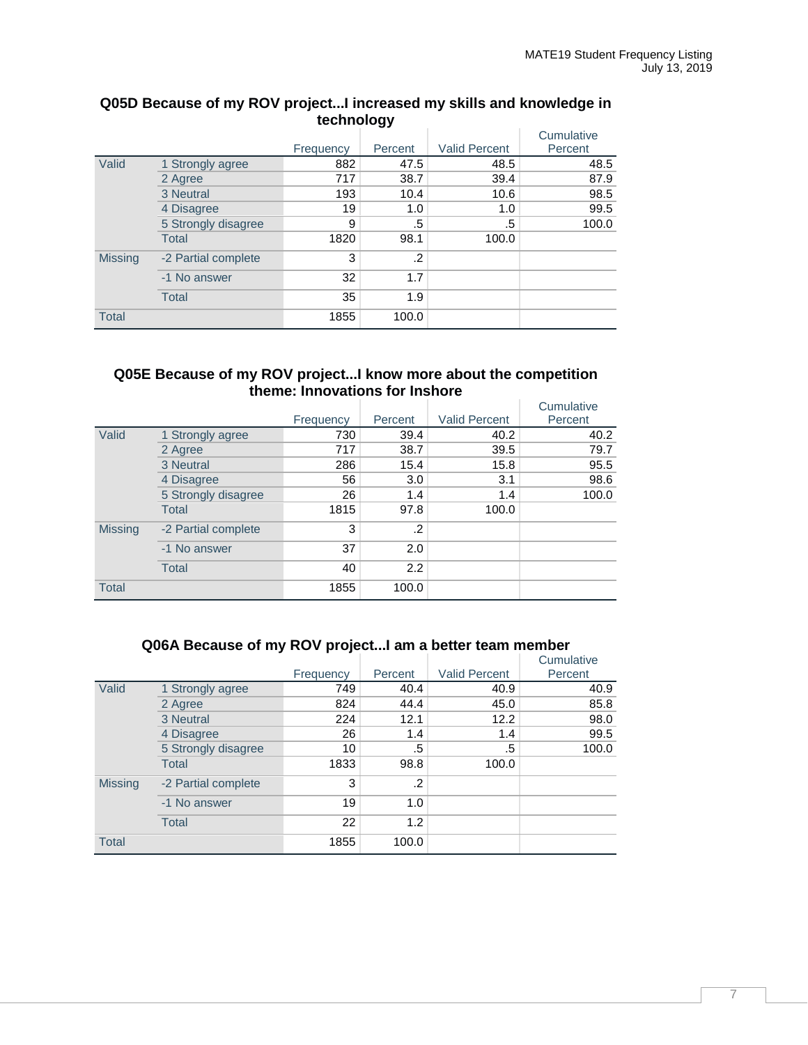|                |                     |           | Percent | <b>Valid Percent</b> | Cumulative<br>Percent |
|----------------|---------------------|-----------|---------|----------------------|-----------------------|
|                |                     | Frequency |         |                      |                       |
| Valid          | 1 Strongly agree    | 882       | 47.5    | 48.5                 | 48.5                  |
|                | 2 Agree             | 717       | 38.7    | 39.4                 | 87.9                  |
|                | 3 Neutral           | 193       | 10.4    | 10.6                 | 98.5                  |
|                | 4 Disagree          | 19        | 1.0     | 1.0                  | 99.5                  |
|                | 5 Strongly disagree | 9         | .5      | .5                   | 100.0                 |
|                | <b>Total</b>        | 1820      | 98.1    | 100.0                |                       |
| <b>Missing</b> | -2 Partial complete | 3         | $\cdot$ |                      |                       |
|                | -1 No answer        | 32        | 1.7     |                      |                       |
|                | <b>Total</b>        | 35        | 1.9     |                      |                       |
| <b>Total</b>   |                     | 1855      | 100.0   |                      |                       |

## **Q05D Because of my ROV project...I increased my skills and knowledge in technology**

#### **Q05E Because of my ROV project...I know more about the competition theme: Innovations for Inshore**

|                |                     | Frequency | Percent | <b>Valid Percent</b> | Cumulative<br>Percent |
|----------------|---------------------|-----------|---------|----------------------|-----------------------|
| Valid          | 1 Strongly agree    | 730       | 39.4    | 40.2                 | 40.2                  |
|                | 2 Agree             | 717       | 38.7    | 39.5                 | 79.7                  |
|                | 3 Neutral           | 286       | 15.4    | 15.8                 | 95.5                  |
|                | 4 Disagree          | 56        | 3.0     | 3.1                  | 98.6                  |
|                | 5 Strongly disagree | 26        | 1.4     | 1.4                  | 100.0                 |
|                | <b>Total</b>        | 1815      | 97.8    | 100.0                |                       |
| <b>Missing</b> | -2 Partial complete | 3         | $\cdot$ |                      |                       |
|                | -1 No answer        | 37        | 2.0     |                      |                       |
|                | <b>Total</b>        | 40        | 2.2     |                      |                       |
| <b>Total</b>   |                     | 1855      | 100.0   |                      |                       |

|                |                     | Frequency | Percent | <b>Valid Percent</b> | Cumulative<br>Percent |
|----------------|---------------------|-----------|---------|----------------------|-----------------------|
| Valid          | 1 Strongly agree    | 749       | 40.4    | 40.9                 | 40.9                  |
|                | 2 Agree             | 824       | 44.4    | 45.0                 | 85.8                  |
|                | 3 Neutral           | 224       | 12.1    | 12.2                 | 98.0                  |
|                | 4 Disagree          | 26        | 1.4     | 1.4                  | 99.5                  |
|                | 5 Strongly disagree | 10        | .5      | .5                   | 100.0                 |
|                | <b>Total</b>        | 1833      | 98.8    | 100.0                |                       |
| <b>Missing</b> | -2 Partial complete | 3         | .2      |                      |                       |
|                | -1 No answer        | 19        | 1.0     |                      |                       |
|                | <b>Total</b>        | 22        | 1.2     |                      |                       |
| <b>Total</b>   |                     | 1855      | 100.0   |                      |                       |

## **Q06A Because of my ROV project...I am a better team member**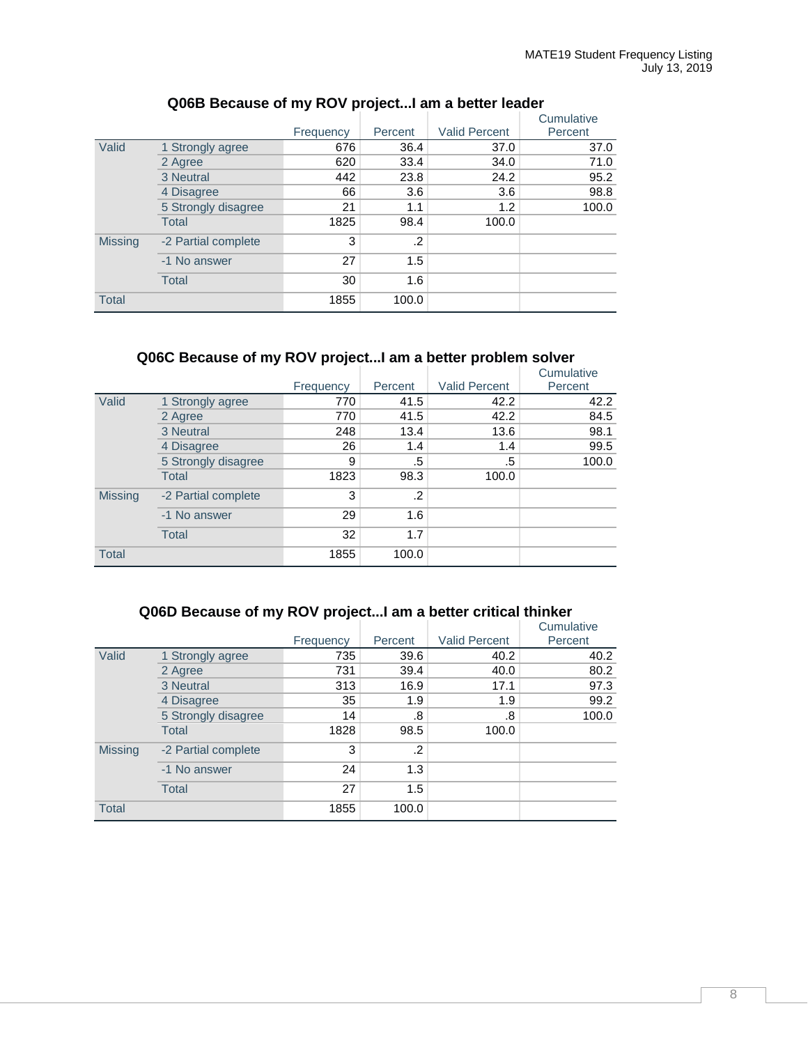|                |                     | Frequency | Percent | <b>Valid Percent</b> | Cumulative<br>Percent |
|----------------|---------------------|-----------|---------|----------------------|-----------------------|
| Valid          | 1 Strongly agree    | 676       | 36.4    | 37.0                 | 37.0                  |
|                | 2 Agree             | 620       | 33.4    | 34.0                 | 71.0                  |
|                | 3 Neutral           | 442       | 23.8    | 24.2                 | 95.2                  |
|                | 4 Disagree          | 66        | 3.6     | 3.6                  | 98.8                  |
|                | 5 Strongly disagree | 21        | 1.1     | 1.2                  | 100.0                 |
|                | Total               | 1825      | 98.4    | 100.0                |                       |
| <b>Missing</b> | -2 Partial complete | 3         | .2      |                      |                       |
|                | -1 No answer        | 27        | 1.5     |                      |                       |
|                | <b>Total</b>        | 30        | 1.6     |                      |                       |
| <b>Total</b>   |                     | 1855      | 100.0   |                      |                       |

## **Q06B Because of my ROV project...I am a better leader**

## **Q06C Because of my ROV project...I am a better problem solver**

|                |                     | Frequency | Percent | <b>Valid Percent</b> | Cumulative<br>Percent |
|----------------|---------------------|-----------|---------|----------------------|-----------------------|
| Valid          | 1 Strongly agree    | 770       | 41.5    | 42.2                 | 42.2                  |
|                | 2 Agree             | 770       | 41.5    | 42.2                 | 84.5                  |
|                | 3 Neutral           | 248       | 13.4    | 13.6                 | 98.1                  |
|                | 4 Disagree          | 26        | 1.4     | 1.4                  | 99.5                  |
|                | 5 Strongly disagree | 9         | .5      | .5                   | 100.0                 |
|                | <b>Total</b>        | 1823      | 98.3    | 100.0                |                       |
| <b>Missing</b> | -2 Partial complete | 3         | $\cdot$ |                      |                       |
|                | -1 No answer        | 29        | 1.6     |                      |                       |
|                | <b>Total</b>        | 32        | 1.7     |                      |                       |
| <b>Total</b>   |                     | 1855      | 100.0   |                      |                       |

## **Q06D Because of my ROV project...I am a better critical thinker**

|                |                     |           |         |                      | Cumulative |
|----------------|---------------------|-----------|---------|----------------------|------------|
|                |                     | Frequency | Percent | <b>Valid Percent</b> | Percent    |
| Valid          | 1 Strongly agree    | 735       | 39.6    | 40.2                 | 40.2       |
|                | 2 Agree             | 731       | 39.4    | 40.0                 | 80.2       |
|                | 3 Neutral           | 313       | 16.9    | 17.1                 | 97.3       |
|                | 4 Disagree          | 35        | 1.9     | 1.9                  | 99.2       |
|                | 5 Strongly disagree | 14        | .8      | .8                   | 100.0      |
|                | <b>Total</b>        | 1828      | 98.5    | 100.0                |            |
| <b>Missing</b> | -2 Partial complete | 3         | .2      |                      |            |
|                | -1 No answer        | 24        | 1.3     |                      |            |
|                | <b>Total</b>        | 27        | 1.5     |                      |            |
| <b>Total</b>   |                     | 1855      | 100.0   |                      |            |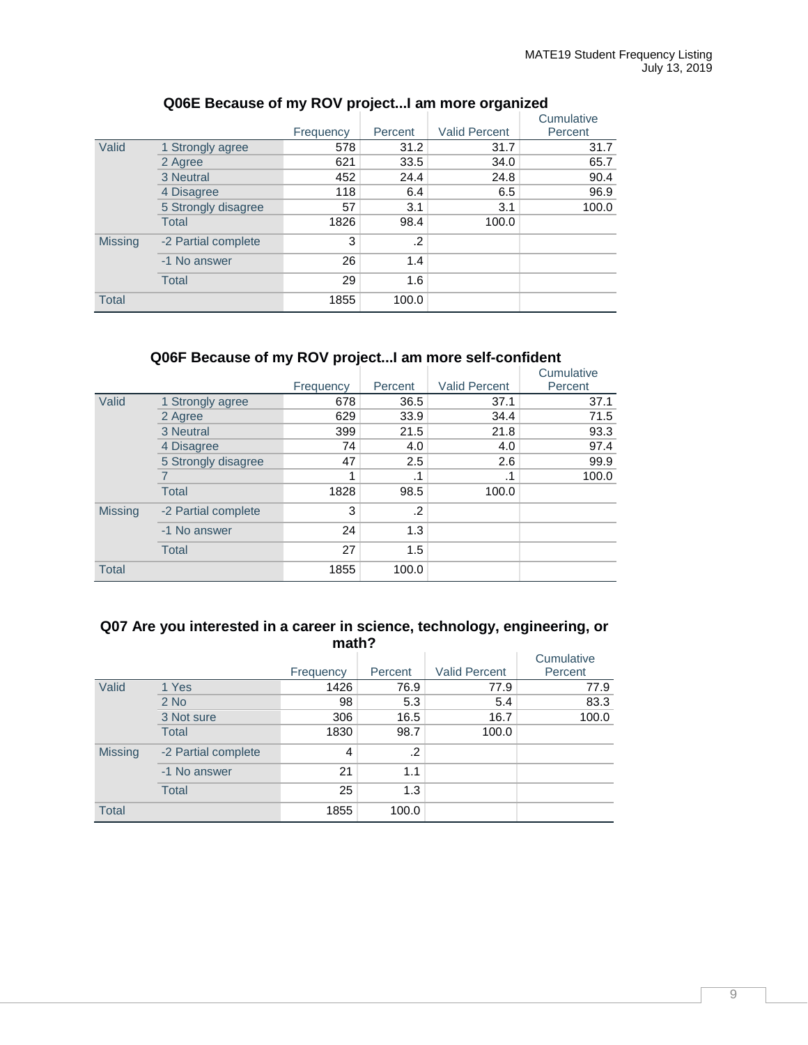|                |                     | Frequency | Percent | <b>Valid Percent</b> | Cumulative<br>Percent |
|----------------|---------------------|-----------|---------|----------------------|-----------------------|
| Valid          | 1 Strongly agree    | 578       | 31.2    | 31.7                 | 31.7                  |
|                | 2 Agree             | 621       | 33.5    | 34.0                 | 65.7                  |
|                | 3 Neutral           | 452       | 24.4    | 24.8                 | 90.4                  |
|                | 4 Disagree          | 118       | 6.4     | 6.5                  | 96.9                  |
|                | 5 Strongly disagree | 57        | 3.1     | 3.1                  | 100.0                 |
|                | Total               | 1826      | 98.4    | 100.0                |                       |
| <b>Missing</b> | -2 Partial complete | 3         | .2      |                      |                       |
|                | -1 No answer        | 26        | 1.4     |                      |                       |
|                | <b>Total</b>        | 29        | 1.6     |                      |                       |
| <b>Total</b>   |                     | 1855      | 100.0   |                      |                       |

## **Q06E Because of my ROV project...I am more organized**

## **Q06F Because of my ROV project...I am more self-confident**

|                |                     |           |         |                      | Cumulative |
|----------------|---------------------|-----------|---------|----------------------|------------|
|                |                     | Frequency | Percent | <b>Valid Percent</b> | Percent    |
| Valid          | 1 Strongly agree    | 678       | 36.5    | 37.1                 | 37.1       |
|                | 2 Agree             | 629       | 33.9    | 34.4                 | 71.5       |
|                | 3 Neutral           | 399       | 21.5    | 21.8                 | 93.3       |
|                | 4 Disagree          | 74        | 4.0     | 4.0                  | 97.4       |
|                | 5 Strongly disagree | 47        | 2.5     | 2.6                  | 99.9       |
|                |                     |           | .1      |                      | 100.0      |
|                | <b>Total</b>        | 1828      | 98.5    | 100.0                |            |
| <b>Missing</b> | -2 Partial complete | 3         | $\cdot$ |                      |            |
|                | -1 No answer        | 24        | 1.3     |                      |            |
|                | <b>Total</b>        | 27        | 1.5     |                      |            |
| <b>Total</b>   |                     | 1855      | 100.0   |                      |            |

#### **Q07 Are you interested in a career in science, technology, engineering, or math?**

|                |                     | Frequency | Percent | <b>Valid Percent</b> | Cumulative<br>Percent |  |  |
|----------------|---------------------|-----------|---------|----------------------|-----------------------|--|--|
| Valid          | 1 Yes               | 1426      | 76.9    | 77.9                 | 77.9                  |  |  |
|                | $2$ No              | 98        | 5.3     | 5.4                  | 83.3                  |  |  |
|                | 3 Not sure          | 306       | 16.5    | 16.7                 | 100.0                 |  |  |
|                | <b>Total</b>        | 1830      | 98.7    | 100.0                |                       |  |  |
| <b>Missing</b> | -2 Partial complete | 4         | $\cdot$ |                      |                       |  |  |
|                | -1 No answer        | 21        | 1.1     |                      |                       |  |  |
|                | <b>Total</b>        | 25        | 1.3     |                      |                       |  |  |
| <b>Total</b>   |                     | 1855      | 100.0   |                      |                       |  |  |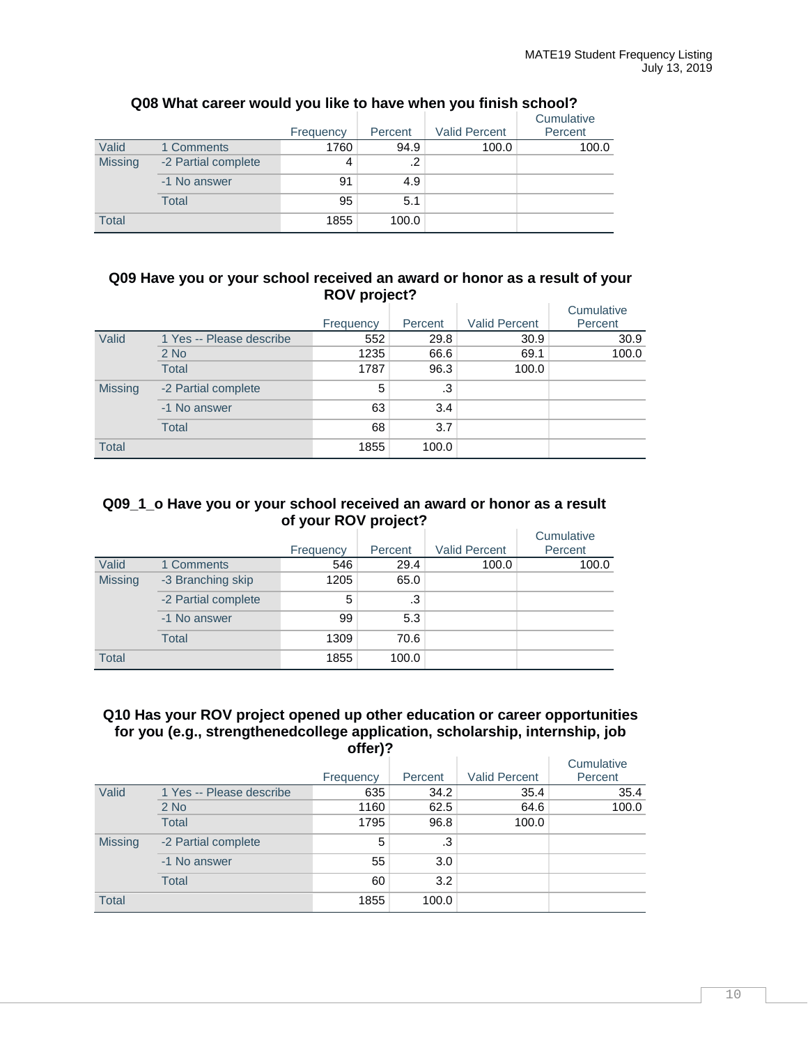|                |                     | Frequency | Percent | <b>Valid Percent</b> | Cumulative<br>Percent |
|----------------|---------------------|-----------|---------|----------------------|-----------------------|
| Valid          | 1 Comments          | 1760      | 94.9    | 100.0                | 100.0                 |
| <b>Missing</b> | -2 Partial complete | 4         | .2      |                      |                       |
|                | -1 No answer        | 91        | 4.9     |                      |                       |
|                | <b>Total</b>        | 95        | 5.1     |                      |                       |
| <b>Total</b>   |                     | 1855      | 100.0   |                      |                       |

## **Q08 What career would you like to have when you finish school?**

#### **Q09 Have you or your school received an award or honor as a result of your ROV project?**

|                |                          | Frequency | Percent   | <b>Valid Percent</b> | Cumulative<br>Percent |
|----------------|--------------------------|-----------|-----------|----------------------|-----------------------|
| Valid          | 1 Yes -- Please describe | 552       | 29.8      | 30.9                 | 30.9                  |
|                | $2$ No                   | 1235      | 66.6      | 69.1                 | 100.0                 |
|                | <b>Total</b>             | 1787      | 96.3      | 100.0                |                       |
| <b>Missing</b> | -2 Partial complete      | 5         | $\cdot$ 3 |                      |                       |
|                | -1 No answer             | 63        | 3.4       |                      |                       |
|                | <b>Total</b>             | 68        | 3.7       |                      |                       |
| <b>Total</b>   |                          | 1855      | 100.0     |                      |                       |

#### **Q09\_1\_o Have you or your school received an award or honor as a result of your ROV project?**

|                |                     |           |         |                      | Cumulative |
|----------------|---------------------|-----------|---------|----------------------|------------|
|                |                     | Frequency | Percent | <b>Valid Percent</b> | Percent    |
| Valid          | 1 Comments          | 546       | 29.4    | 100.0                | 100.0      |
| <b>Missing</b> | -3 Branching skip   | 1205      | 65.0    |                      |            |
|                | -2 Partial complete | 5         | .3      |                      |            |
|                | -1 No answer        | 99        | 5.3     |                      |            |
|                | Total               | 1309      | 70.6    |                      |            |
| <b>Total</b>   |                     | 1855      | 100.0   |                      |            |

#### **Q10 Has your ROV project opened up other education or career opportunities for you (e.g., strengthenedcollege application, scholarship, internship, job offer)?**

|                |                          |           |         |                      | Cumulative |
|----------------|--------------------------|-----------|---------|----------------------|------------|
|                |                          | Frequency | Percent | <b>Valid Percent</b> | Percent    |
| Valid          | 1 Yes -- Please describe | 635       | 34.2    | 35.4                 | 35.4       |
|                | $2$ No                   | 1160      | 62.5    | 64.6                 | 100.0      |
|                | <b>Total</b>             | 1795      | 96.8    | 100.0                |            |
| <b>Missing</b> | -2 Partial complete      | 5         | .3      |                      |            |
|                | -1 No answer             | 55        | 3.0     |                      |            |
|                | <b>Total</b>             | 60        | 3.2     |                      |            |
| <b>Total</b>   |                          | 1855      | 100.0   |                      |            |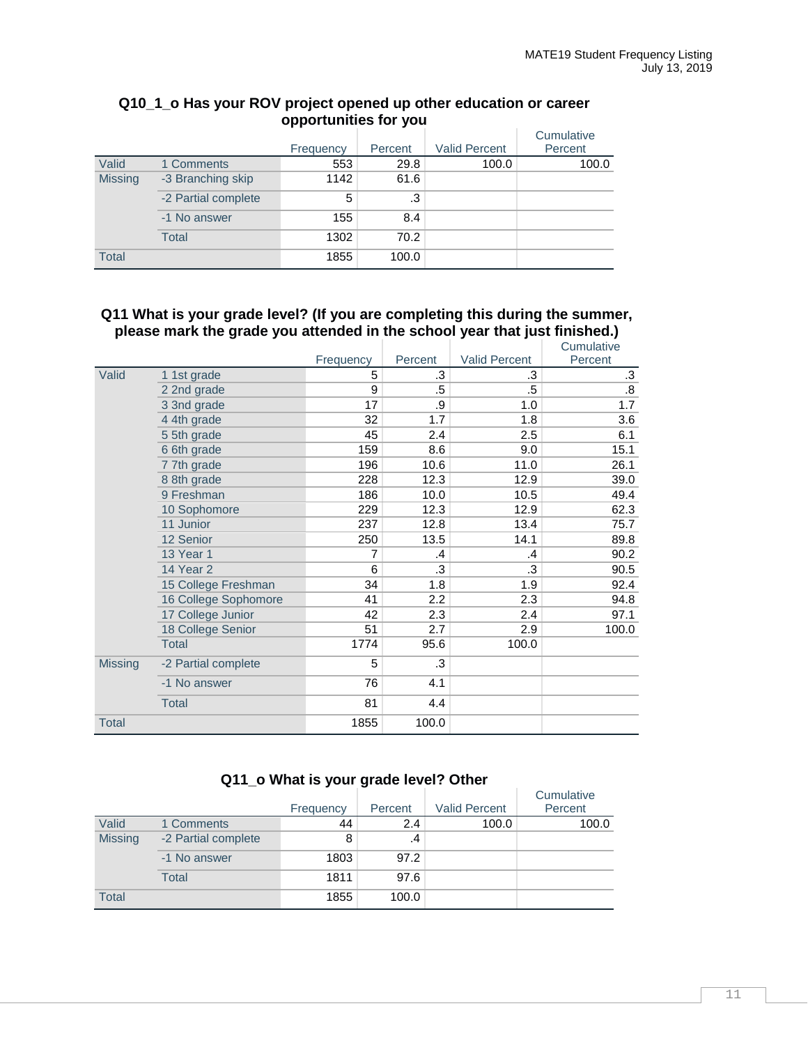|                |                     |           |         |                      | Cumulative |
|----------------|---------------------|-----------|---------|----------------------|------------|
|                |                     | Frequency | Percent | <b>Valid Percent</b> | Percent    |
| Valid          | 1 Comments          | 553       | 29.8    | 100.0                | 100.0      |
| <b>Missing</b> | -3 Branching skip   | 1142      | 61.6    |                      |            |
|                | -2 Partial complete | 5         | .3      |                      |            |
|                | -1 No answer        | 155       | 8.4     |                      |            |
|                | <b>Total</b>        | 1302      | 70.2    |                      |            |
| <b>Total</b>   |                     | 1855      | 100.0   |                      |            |

## **Q10\_1\_o Has your ROV project opened up other education or career opportunities for you**

#### **Q11 What is your grade level? (If you are completing this during the summer, please mark the grade you attended in the school year that just finished.)**

|         |                      |           |         |               | Cumulative        |
|---------|----------------------|-----------|---------|---------------|-------------------|
|         |                      | Frequency | Percent | Valid Percent | Percent           |
| Valid   | 1 1st grade          | 5         | .3      | .3            | $\cdot$ 3         |
|         | 2 2nd grade          | 9         | .5      | .5            | $\boldsymbol{.8}$ |
|         | 3 3nd grade          | 17        | .9      | 1.0           | 1.7               |
|         | 4 4th grade          | 32        | 1.7     | 1.8           | 3.6               |
|         | 5 5th grade          | 45        | 2.4     | 2.5           | 6.1               |
|         | 6 6th grade          | 159       | 8.6     | 9.0           | 15.1              |
|         | 7 7th grade          | 196       | 10.6    | 11.0          | 26.1              |
|         | 8 8th grade          | 228       | 12.3    | 12.9          | 39.0              |
|         | 9 Freshman           | 186       | 10.0    | 10.5          | 49.4              |
|         | 10 Sophomore         | 229       | 12.3    | 12.9          | 62.3              |
|         | 11 Junior            | 237       | 12.8    | 13.4          | 75.7              |
|         | 12 Senior            | 250       | 13.5    | 14.1          | 89.8              |
|         | <b>13 Year 1</b>     | 7         | .4      | .4            | 90.2              |
|         | 14 Year 2            | 6         | .3      | .3            | 90.5              |
|         | 15 College Freshman  | 34        | 1.8     | 1.9           | 92.4              |
|         | 16 College Sophomore | 41        | 2.2     | 2.3           | 94.8              |
|         | 17 College Junior    | 42        | 2.3     | 2.4           | 97.1              |
|         | 18 College Senior    | 51        | 2.7     | 2.9           | 100.0             |
|         | <b>Total</b>         | 1774      | 95.6    | 100.0         |                   |
| Missing | -2 Partial complete  | 5         | .3      |               |                   |
|         | -1 No answer         | 76        | 4.1     |               |                   |
|         | <b>Total</b>         | 81        | 4.4     |               |                   |
| Total   |                      | 1855      | 100.0   |               |                   |

## **Q11\_o What is your grade level? Other**

|                |                     | Frequency | Percent | <b>Valid Percent</b> | Cumulative<br>Percent |
|----------------|---------------------|-----------|---------|----------------------|-----------------------|
| Valid          | 1 Comments          | 44        | 2.4     | 100.0                | 100.0                 |
| <b>Missing</b> | -2 Partial complete | 8         | .4      |                      |                       |
|                | -1 No answer        | 1803      | 97.2    |                      |                       |
|                | Total               | 1811      | 97.6    |                      |                       |
| <b>Total</b>   |                     | 1855      | 100.0   |                      |                       |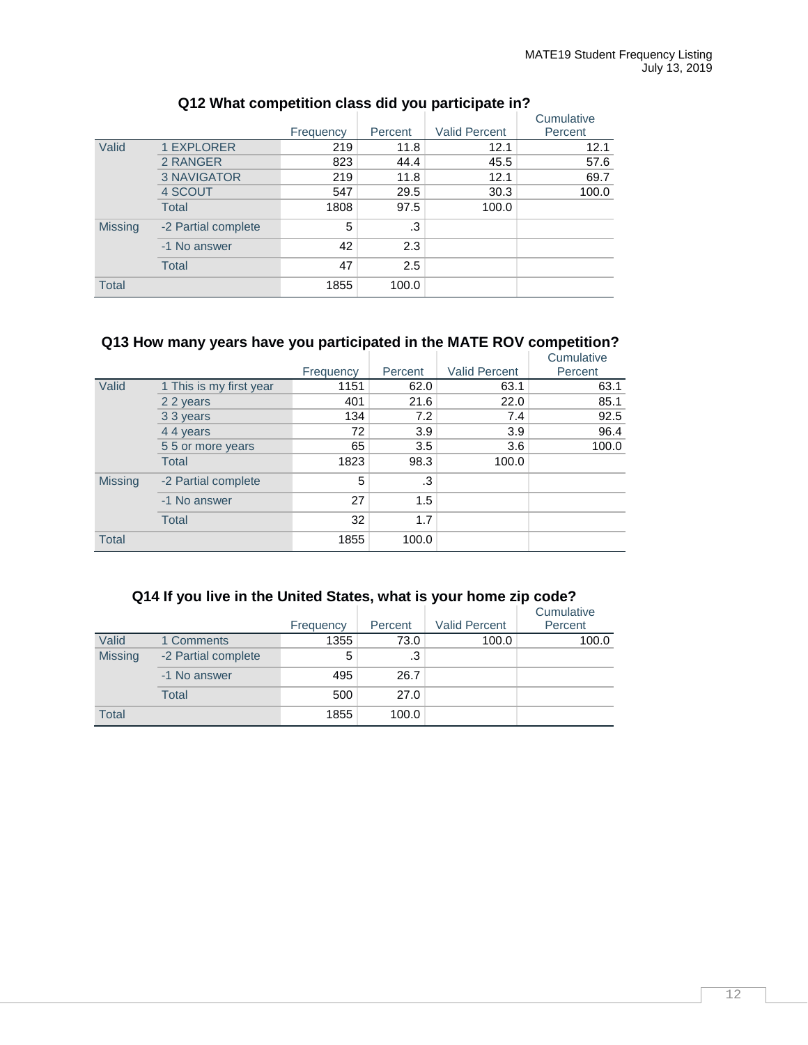|                |                     | Frequency | Percent | <b>Valid Percent</b> | Cumulative<br>Percent |
|----------------|---------------------|-----------|---------|----------------------|-----------------------|
| Valid          | 1 EXPLORER          | 219       | 11.8    | 12.1                 | 12.1                  |
|                | 2 RANGER            | 823       | 44.4    | 45.5                 | 57.6                  |
|                | <b>3 NAVIGATOR</b>  | 219       | 11.8    | 12.1                 | 69.7                  |
|                | 4 SCOUT             | 547       | 29.5    | 30.3                 | 100.0                 |
|                | <b>Total</b>        | 1808      | 97.5    | 100.0                |                       |
| <b>Missing</b> | -2 Partial complete | 5         | .3      |                      |                       |
|                | -1 No answer        | 42        | 2.3     |                      |                       |
|                | <b>Total</b>        | 47        | 2.5     |                      |                       |
| <b>Total</b>   |                     | 1855      | 100.0   |                      |                       |

## **Q12 What competition class did you participate in?**

## **Q13 How many years have you participated in the MATE ROV competition?**

|                |                         | Frequency | Percent | <b>Valid Percent</b> | Cumulative<br>Percent |
|----------------|-------------------------|-----------|---------|----------------------|-----------------------|
| Valid          | 1 This is my first year | 1151      | 62.0    | 63.1                 | 63.1                  |
|                | 2 2 years               | 401       | 21.6    | 22.0                 | 85.1                  |
|                | 3 3 years               | 134       | 7.2     | 7.4                  | 92.5                  |
|                | 4 4 years               | 72        | 3.9     | 3.9                  | 96.4                  |
|                | 5 5 or more years       | 65        | 3.5     | 3.6                  | 100.0                 |
|                | <b>Total</b>            | 1823      | 98.3    | 100.0                |                       |
| <b>Missing</b> | -2 Partial complete     | 5         | .3      |                      |                       |
|                | -1 No answer            | 27        | 1.5     |                      |                       |
|                | <b>Total</b>            | 32        | 1.7     |                      |                       |
| <b>Total</b>   |                         | 1855      | 100.0   |                      |                       |

## **Q14 If you live in the United States, what is your home zip code?**

|                |                     | Frequency | Percent | <b>Valid Percent</b> | Cumulative<br>Percent |
|----------------|---------------------|-----------|---------|----------------------|-----------------------|
| Valid          | 1 Comments          | 1355      | 73.0    | 100.0                | 100.0                 |
| <b>Missing</b> | -2 Partial complete | 5         | .3      |                      |                       |
|                | -1 No answer        | 495       | 26.7    |                      |                       |
|                | Total               | 500       | 27.0    |                      |                       |
| <b>Total</b>   |                     | 1855      | 100.0   |                      |                       |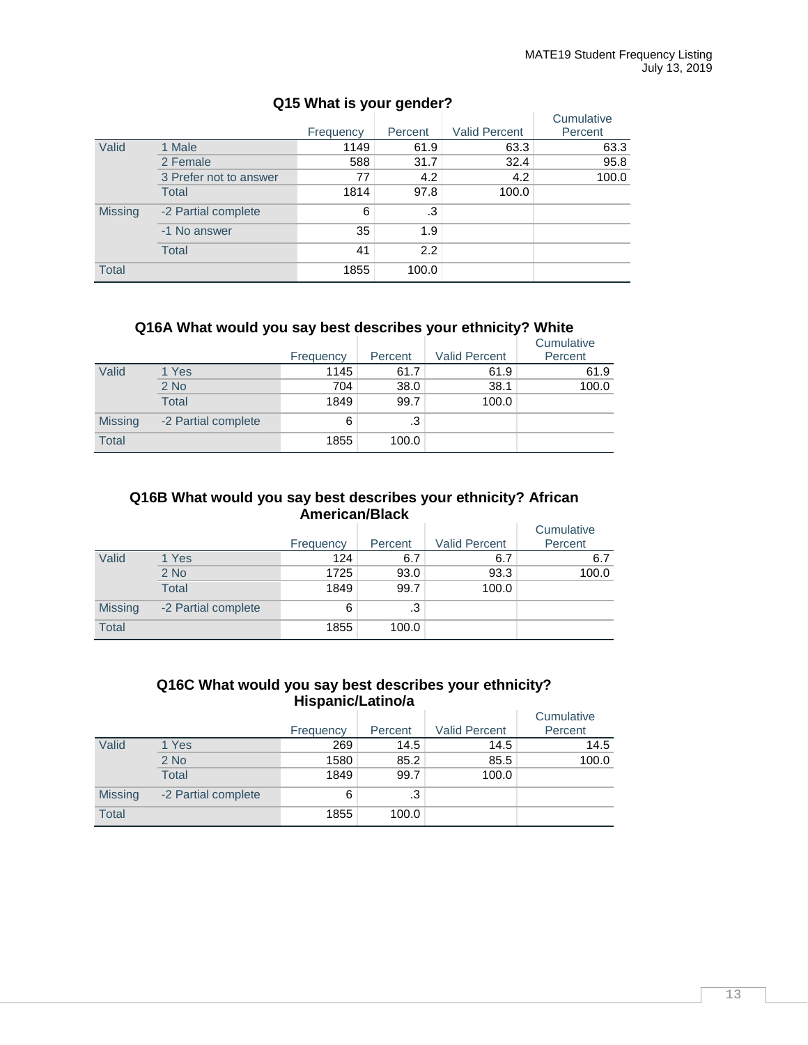|                |                        | Frequency | Percent | <b>Valid Percent</b> | Cumulative<br>Percent |
|----------------|------------------------|-----------|---------|----------------------|-----------------------|
| Valid          | 1 Male                 | 1149      | 61.9    | 63.3                 | 63.3                  |
|                | 2 Female               | 588       | 31.7    | 32.4                 | 95.8                  |
|                | 3 Prefer not to answer | 77        | 4.2     | 4.2                  | 100.0                 |
|                | <b>Total</b>           | 1814      | 97.8    | 100.0                |                       |
| <b>Missing</b> | -2 Partial complete    | 6         | .3      |                      |                       |
|                | -1 No answer           | 35        | 1.9     |                      |                       |
|                | <b>Total</b>           | 41        | 2.2     |                      |                       |
| <b>Total</b>   |                        | 1855      | 100.0   |                      |                       |

## **Q15 What is your gender?**

## **Q16A What would you say best describes your ethnicity? White**

|                |                     | Frequency | Percent | <b>Valid Percent</b> | Cumulative<br>Percent |
|----------------|---------------------|-----------|---------|----------------------|-----------------------|
| Valid          | 1 Yes               | 1145      | 61.7    | 61.9                 | 61.9                  |
|                | $2$ No              | 704       | 38.0    | 38.1                 | 100.0                 |
|                | <b>Total</b>        | 1849      | 99.7    | 100.0                |                       |
| <b>Missing</b> | -2 Partial complete | 6         | .3      |                      |                       |
| <b>Total</b>   |                     | 1855      | 100.0   |                      |                       |

## **Q16B What would you say best describes your ethnicity? African American/Black**

|                |                     | Frequency | Percent | <b>Valid Percent</b> | Cumulative<br>Percent |
|----------------|---------------------|-----------|---------|----------------------|-----------------------|
| Valid          | 1 Yes               | 124       | 6.7     | 6.7                  | 6.7                   |
|                | $2$ No              | 1725      | 93.0    | 93.3                 | 100.0                 |
|                | Total               | 1849      | 99.7    | 100.0                |                       |
| <b>Missing</b> | -2 Partial complete | 6         | .3      |                      |                       |
| <b>Total</b>   |                     | 1855      | 100.0   |                      |                       |

## **Q16C What would you say best describes your ethnicity? Hispanic/Latino/a**

|                |                     |           |         |                      | Cumulative |
|----------------|---------------------|-----------|---------|----------------------|------------|
|                |                     | Frequency | Percent | <b>Valid Percent</b> | Percent    |
| Valid          | 1 Yes               | 269       | 14.5    | 14.5                 | 14.5       |
|                | $2$ No              | 1580      | 85.2    | 85.5                 | 100.0      |
|                | <b>Total</b>        | 1849      | 99.7    | 100.0                |            |
| <b>Missing</b> | -2 Partial complete | 6         | .3      |                      |            |
| <b>Total</b>   |                     | 1855      | 100.0   |                      |            |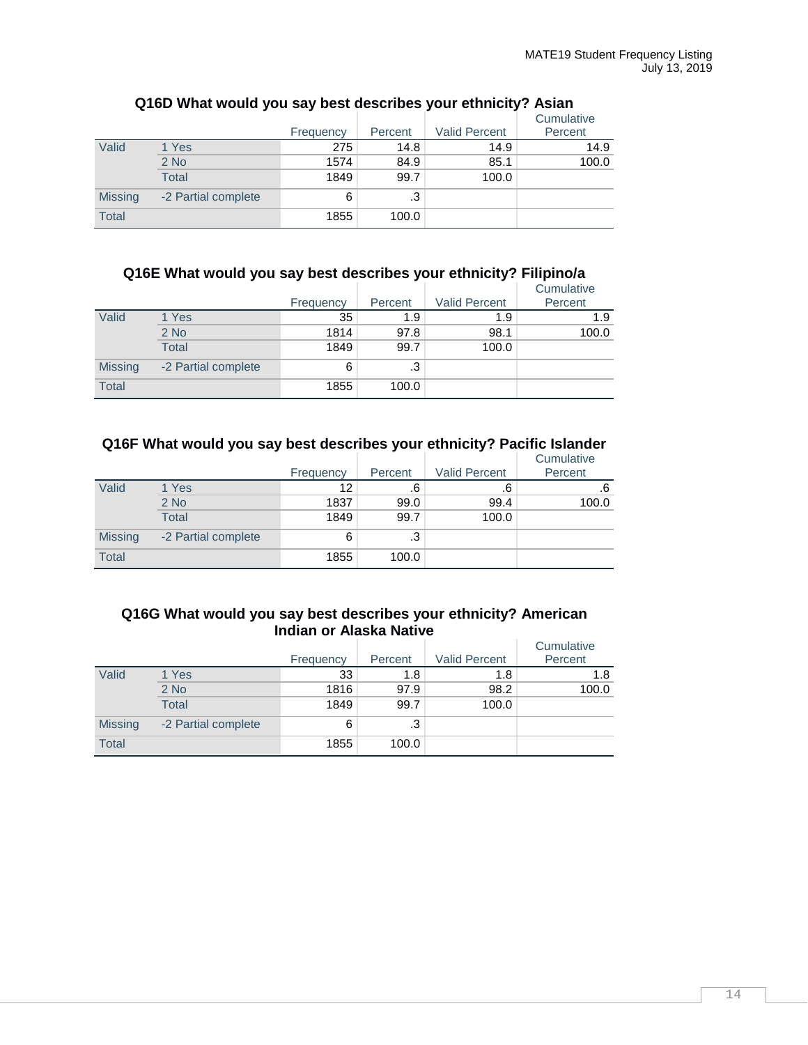|                |                     | Frequency | Percent | <b>Valid Percent</b> | Cumulative<br>Percent |
|----------------|---------------------|-----------|---------|----------------------|-----------------------|
| Valid          | 1 Yes               | 275       | 14.8    | 14.9                 | 14.9                  |
|                | $2$ No              | 1574      | 84.9    | 85.1                 | 100.0                 |
|                | <b>Total</b>        | 1849      | 99.7    | 100.0                |                       |
| <b>Missing</b> | -2 Partial complete | 6         | .3      |                      |                       |
| <b>Total</b>   |                     | 1855      | 100.0   |                      |                       |

## **Q16D What would you say best describes your ethnicity? Asian**

## **Q16E What would you say best describes your ethnicity? Filipino/a**

|                |                     | Frequency | Percent | <b>Valid Percent</b> | Cumulative<br>Percent |
|----------------|---------------------|-----------|---------|----------------------|-----------------------|
| Valid          | 1 Yes               | 35        | 1.9     | 1.9                  | 1.9                   |
|                | $2$ No              | 1814      | 97.8    | 98.1                 | 100.0                 |
|                | <b>Total</b>        | 1849      | 99.7    | 100.0                |                       |
| <b>Missing</b> | -2 Partial complete | 6         | .3      |                      |                       |
| <b>Total</b>   |                     | 1855      | 100.0   |                      |                       |

## **Q16F What would you say best describes your ethnicity? Pacific Islander**

|                |                     | Frequency | Percent | <b>Valid Percent</b> | Cumulative<br>Percent |
|----------------|---------------------|-----------|---------|----------------------|-----------------------|
| Valid          | 1 Yes               | 12        | .6      | .6                   | .6                    |
|                | $2$ No              | 1837      | 99.0    | 99.4                 | 100.0                 |
|                | <b>Total</b>        | 1849      | 99.7    | 100.0                |                       |
| <b>Missing</b> | -2 Partial complete | 6         | .3      |                      |                       |
| <b>Total</b>   |                     | 1855      | 100.0   |                      |                       |

## **Q16G What would you say best describes your ethnicity? American Indian or Alaska Native**

|                |                     | Frequency | Percent | <b>Valid Percent</b> | Cumulative<br>Percent |
|----------------|---------------------|-----------|---------|----------------------|-----------------------|
| Valid          | 1 Yes               | 33        | 1.8     | 1.8                  | 1.8                   |
|                | $2$ No              | 1816      | 97.9    | 98.2                 | 100.0                 |
|                | <b>Total</b>        | 1849      | 99.7    | 100.0                |                       |
| <b>Missing</b> | -2 Partial complete | 6         | .3      |                      |                       |
| <b>Total</b>   |                     | 1855      | 100.0   |                      |                       |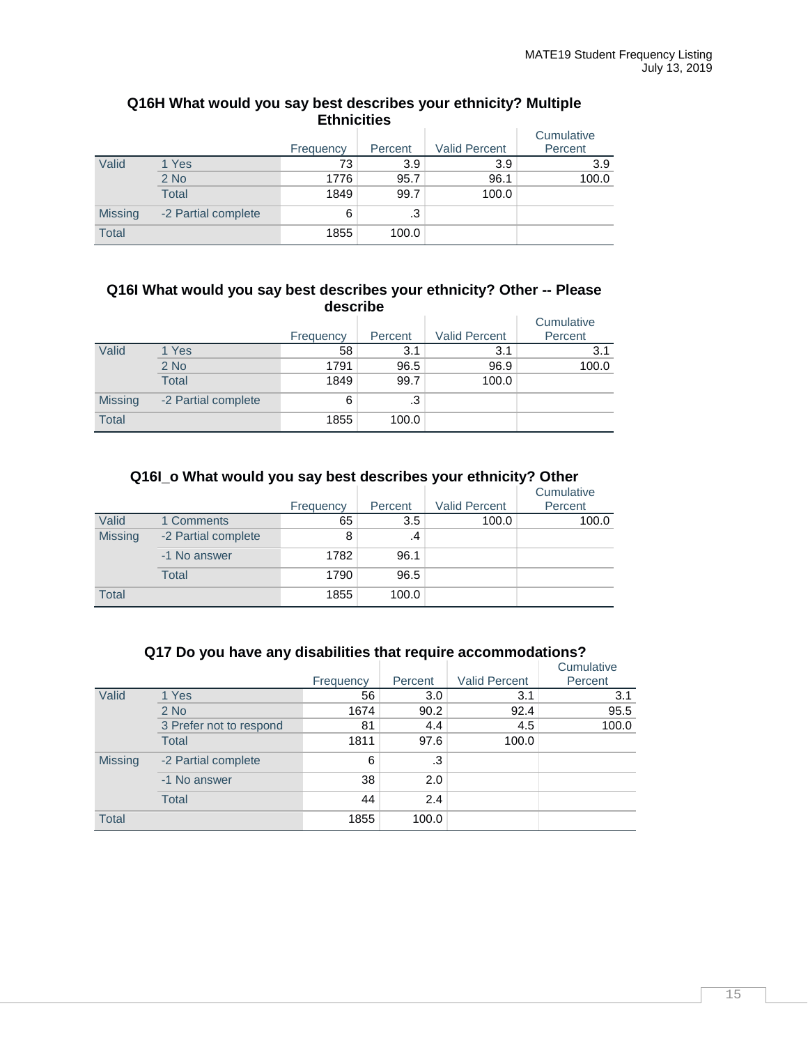| <b>Ethnicities</b> |                     |           |         |                      |                       |  |  |  |
|--------------------|---------------------|-----------|---------|----------------------|-----------------------|--|--|--|
|                    |                     | Frequency | Percent | <b>Valid Percent</b> | Cumulative<br>Percent |  |  |  |
| Valid              | 1 Yes               | 73        | 3.9     | 3.9                  | 3.9                   |  |  |  |
|                    | $2$ No              | 1776      | 95.7    | 96.1                 | 100.0                 |  |  |  |
|                    | <b>Total</b>        | 1849      | 99.7    | 100.0                |                       |  |  |  |
| <b>Missing</b>     | -2 Partial complete | 6         | .3      |                      |                       |  |  |  |
| <b>Total</b>       |                     | 1855      | 100.0   |                      |                       |  |  |  |

# **Q16H What would you say best describes your ethnicity? Multiple**

#### **Q16I What would you say best describes your ethnicity? Other -- Please describe**

|                |                     | Frequency | Percent | <b>Valid Percent</b> | Cumulative<br>Percent |
|----------------|---------------------|-----------|---------|----------------------|-----------------------|
| Valid          | 1 Yes               | 58        | 3.1     | 3.1                  | 3.1                   |
|                | $2$ No              | 1791      | 96.5    | 96.9                 | 100.0                 |
|                | <b>Total</b>        | 1849      | 99.7    | 100.0                |                       |
| <b>Missing</b> | -2 Partial complete | 6         | .3      |                      |                       |
| <b>Total</b>   |                     | 1855      | 100.0   |                      |                       |

## **Q16I\_o What would you say best describes your ethnicity? Other**

|                |                     | Frequency | Percent | <b>Valid Percent</b> | Cumulative<br>Percent |
|----------------|---------------------|-----------|---------|----------------------|-----------------------|
| Valid          | 1 Comments          | 65        | 3.5     | 100.0                | 100.0                 |
| <b>Missing</b> | -2 Partial complete | 8         | .4      |                      |                       |
|                | -1 No answer        | 1782      | 96.1    |                      |                       |
|                | <b>Total</b>        | 1790      | 96.5    |                      |                       |
| <b>Total</b>   |                     | 1855      | 100.0   |                      |                       |

## **Q17 Do you have any disabilities that require accommodations?**

|                |                         | Frequency | Percent | <b>Valid Percent</b> | Cumulative<br>Percent |
|----------------|-------------------------|-----------|---------|----------------------|-----------------------|
| Valid          | 1 Yes                   | 56        | 3.0     | 3.1                  | 3.1                   |
|                | $2$ No                  | 1674      | 90.2    | 92.4                 | 95.5                  |
|                | 3 Prefer not to respond | 81        | 4.4     | 4.5                  | 100.0                 |
|                | <b>Total</b>            | 1811      | 97.6    | 100.0                |                       |
| <b>Missing</b> | -2 Partial complete     | 6         | .3      |                      |                       |
|                | -1 No answer            | 38        | 2.0     |                      |                       |
|                | <b>Total</b>            | 44        | 2.4     |                      |                       |
| <b>Total</b>   |                         | 1855      | 100.0   |                      |                       |